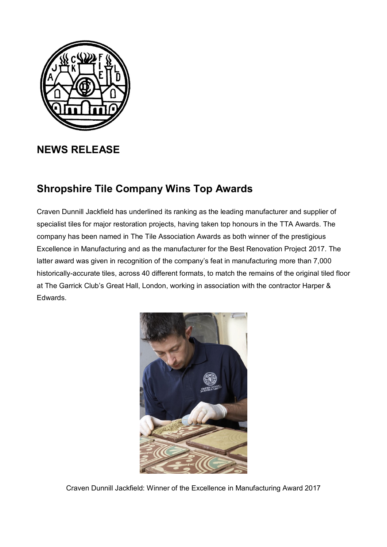

## **NEWS RELEASE**

## **Shropshire Tile Company Wins Top Awards**

Craven Dunnill Jackfield has underlined its ranking as the leading manufacturer and supplier of specialist tiles for major restoration projects, having taken top honours in the TTA Awards. The company has been named in The Tile Association Awards as both winner of the prestigious Excellence in Manufacturing and as the manufacturer for the Best Renovation Project 2017. The latter award was given in recognition of the company's feat in manufacturing more than 7,000 historically-accurate tiles, across 40 different formats, to match the remains of the original tiled floor at The Garrick Club's Great Hall, London, working in association with the contractor Harper & Edwards.



Craven Dunnill Jackfield: Winner of the Excellence in Manufacturing Award 2017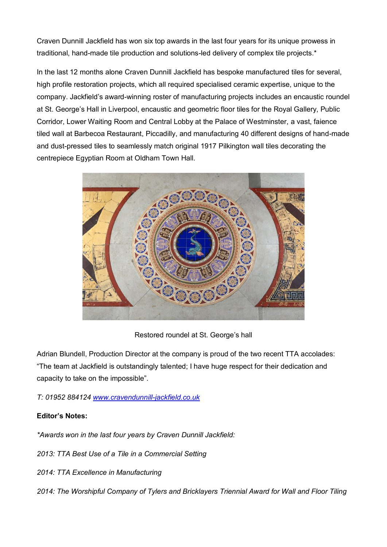Craven Dunnill Jackfield has won six top awards in the last four years for its unique prowess in traditional, hand-made tile production and solutions-led delivery of complex tile projects.\*

In the last 12 months alone Craven Dunnill Jackfield has bespoke manufactured tiles for several, high profile restoration projects, which all required specialised ceramic expertise, unique to the company. Jackfield's award-winning roster of manufacturing projects includes an encaustic roundel at St. George's Hall in Liverpool, encaustic and geometric floor tiles for the Royal Gallery, Public Corridor, Lower Waiting Room and Central Lobby at the Palace of Westminster, a vast, faience tiled wall at Barbecoa Restaurant, Piccadilly, and manufacturing 40 different designs of hand-made and dust-pressed tiles to seamlessly match original 1917 Pilkington wall tiles decorating the centrepiece Egyptian Room at Oldham Town Hall.



Restored roundel at St. George's hall

Adrian Blundell, Production Director at the company is proud of the two recent TTA accolades: "The team at Jackfield is outstandingly talented; I have huge respect for their dedication and capacity to take on the impossible".

*T: 01952 884124 [www.cravendunnill-jackfield.co.uk](http://www.cravendunnill-jackfield.co.uk/)*

## **Editor's Notes:**

*\*Awards won in the last four years by Craven Dunnill Jackfield:*

*2013: TTA Best Use of a Tile in a Commercial Setting*

- *2014: TTA Excellence in Manufacturing*
- *2014: The Worshipful Company of Tylers and Bricklayers Triennial Award for Wall and Floor Tiling*